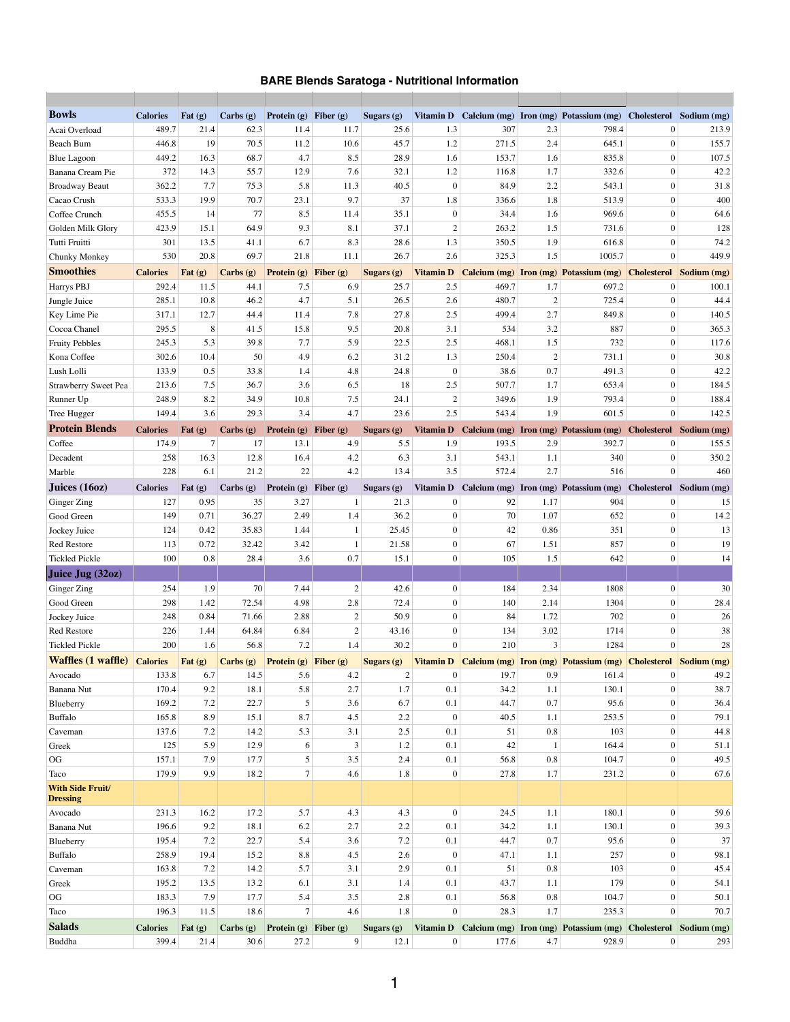## **BARE Blends Saratoga - Nutritional Information**

| <b>Bowls</b>                               | <b>Calories</b> | Fat $(g)$         | Carbs (g)       | <b>Protein</b> (g) <b>Fiber</b> (g) |                | Sugars (g)        | <b>Vitamin D</b> |       |                | Calcium (mg) Iron (mg) Potassium (mg)                         | Cholesterol     | Sodium (mg)                    |
|--------------------------------------------|-----------------|-------------------|-----------------|-------------------------------------|----------------|-------------------|------------------|-------|----------------|---------------------------------------------------------------|-----------------|--------------------------------|
| Acai Overload                              | 489.7           | 21.4              | 62.3            | 11.4                                | 11.7           | 25.6              | 1.3              | 307   | 2.3            | 798.4                                                         | 0               | 213.9                          |
| <b>Beach Bum</b>                           | 446.8           | 19                | 70.5            | 11.2                                | 10.6           | 45.7              | 1.2              | 271.5 | 2.4            | 645.1                                                         | $\overline{0}$  | 155.7                          |
| <b>Blue Lagoon</b>                         | 449.2           | 16.3              | 68.7            | 4.7                                 | 8.5            | 28.9              | 1.6              | 153.7 | 1.6            | 835.8                                                         | $\overline{0}$  | 107.5                          |
| <b>Banana Cream Pie</b>                    | 372             | 14.3              | 55.7            | 12.9                                | 7.6            | 32.1              | 1.2              | 116.8 | 1.7            | 332.6                                                         | $\overline{0}$  | 42.2                           |
| <b>Broadway Beaut</b>                      | 362.2           | 7.7               | 75.3            | 5.8                                 | 11.3           | 40.5              | $\boldsymbol{0}$ | 84.9  | 2.2            | 543.1                                                         | $\overline{0}$  | 31.8                           |
| Cacao Crush                                | 533.3           | 19.9              | 70.7            | 23.1                                | 9.7            | 37                | 1.8              | 336.6 | 1.8            | 513.9                                                         | $\overline{0}$  | 400                            |
| Coffee Crunch                              | 455.5           | 14                | 77              | 8.5                                 | 11.4           | 35.1              | $\mathbf{0}$     | 34.4  | 1.6            | 969.6                                                         | $\overline{0}$  | 64.6                           |
| Golden Milk Glory                          | 423.9           | 15.1              | 64.9            | 9.3                                 | 8.1            | 37.1              | $\overline{2}$   | 263.2 | 1.5            | 731.6                                                         | $\overline{0}$  | 128                            |
| Tutti Fruitti                              | 301             | 13.5              | 41.1            | 6.7                                 | 8.3            | 28.6              | 1.3              | 350.5 | 1.9            | 616.8                                                         | $\overline{0}$  | 74.2                           |
| <b>Chunky Monkey</b>                       | 530             | 20.8              | 69.7            | 21.8                                | 11.1           | 26.7              | 2.6              | 325.3 | 1.5            | 1005.7                                                        | $\overline{0}$  | 449.9                          |
| <b>Smoothies</b>                           | <b>Calories</b> | Fat (g)           | Carbs (g)       | <b>Protein (g)</b> Fiber (g)        |                | Sugars (g)        | <b>Vitamin D</b> |       |                | <b>Calcium (mg) Iron (mg) Potassium (mg)</b>                  |                 | <b>Cholesterol</b> Sodium (mg) |
| Harrys PBJ                                 | 292.4           | 11.5              | 44.1            | 7.5                                 | 6.9            | 25.7              | 2.5              | 469.7 | 1.7            | 697.2                                                         | 0               | 100.1                          |
| Jungle Juice                               | 285.1           | 10.8              | 46.2            | 4.7                                 | 5.1            | 26.5              | 2.6              | 480.7 | $\overline{2}$ | 725.4                                                         | $\overline{0}$  | 44.4                           |
| Key Lime Pie                               | 317.1           | 12.7              | 44.4            | 11.4                                | 7.8            | 27.8              | 2.5              | 499.4 | 2.7            | 849.8                                                         | $\overline{0}$  | 140.5                          |
| Cocoa Chanel                               | 295.5           | 8                 | 41.5            | 15.8                                | 9.5            | 20.8              | 3.1              | 534   | 3.2            | 887                                                           | $\overline{0}$  | 365.3                          |
| <b>Fruity Pebbles</b>                      | 245.3           | 5.3               | 39.8            | 7.7                                 | 5.9            | 22.5              | 2.5              | 468.1 | 1.5            | 732                                                           | $\overline{0}$  | 117.6                          |
| Kona Coffee                                | 302.6           | 10.4              | 50              | 4.9                                 | 6.2            | 31.2              | 1.3              | 250.4 | $\overline{2}$ | 731.1                                                         | $\overline{0}$  | 30.8                           |
| Lush Lolli                                 | 133.9           | 0.5               | 33.8            | 1.4                                 | 4.8            | 24.8              | $\boldsymbol{0}$ | 38.6  | 0.7            | 491.3                                                         | $\overline{0}$  | 42.2                           |
| <b>Strawberry Sweet Pea</b>                | 213.6           | 7.5               | 36.7            | 3.6                                 | 6.5            | 18                | 2.5              | 507.7 | 1.7            | 653.4                                                         | $\overline{0}$  | 184.5                          |
| Runner Up                                  | 248.9           | 8.2               | 34.9            | 10.8                                | 7.5            | 24.1              | 2                | 349.6 | 1.9            | 793.4                                                         | $\vert 0 \vert$ | 188.4                          |
| Tree Hugger                                | 149.4           | 3.6               | 29.3            | 3.4                                 | 4.7            | 23.6              | 2.5              | 543.4 | 1.9            | 601.5                                                         | $\overline{0}$  | 142.5                          |
| <b>Protein Blends</b>                      | <b>Calories</b> | Fat $(g)$         | Carbs (g)       | Protein (g) Fiber (g)               |                | <b>Sugars (g)</b> | <b>Vitamin D</b> |       |                | Calcium (mg) Iron (mg) Potassium (mg) Cholesterol Sodium (mg) |                 |                                |
| Coffee                                     | 174.9           | 7                 | 17 <sup>1</sup> | 13.1                                | 4.9            | 5.5               | 1.9              | 193.5 | 2.9            | 392.7                                                         | 0               | 155.5                          |
| Decadent                                   | 258             | 16.3              | 12.8            | 16.4                                | 4.2            | 6.3               | 3.1              | 543.1 | 1.1            | 340                                                           | $\overline{0}$  | 350.2                          |
| Marble                                     | 228             | 6.1               | 21.2            | 22                                  | 4.2            | 13.4              | 3.5              | 572.4 | 2.7            | 516                                                           | $\overline{0}$  | 460                            |
| Juices $(160z)$                            | <b>Calories</b> | Fat $(g)$         | Carbs(g)        | <b>Protein</b> (g) <b>Fiber</b> (g) |                | Sugars (g)        | <b>Vitamin D</b> |       |                | Calcium (mg) Iron (mg) Potassium (mg)                         |                 | Cholesterol Sodium (mg)        |
| Ginger Zing                                | 127             | 0.95              | 35              | 3.27                                |                | 21.3              | $\overline{0}$   | 92    | 1.17           | 904                                                           | $\overline{0}$  | 15                             |
| Good Green                                 | 149             | 0.71              | 36.27           | 2.49                                | 1.4            | 36.2              | $\boldsymbol{0}$ | 70    | 1.07           | 652                                                           | $\overline{0}$  | 14.2                           |
| Jockey Juice                               | 124             | 0.42              | 35.83           | 1.44                                |                | 25.45             | $\overline{0}$   | 42    | 0.86           | 351                                                           | $\overline{0}$  | 13                             |
| <b>Red Restore</b>                         | 113             | 0.72              | 32.42           | 3.42                                |                | 21.58             | $\overline{0}$   | 67    | 1.51           | 857                                                           | $\overline{0}$  | 19                             |
| <b>Tickled Pickle</b>                      | 100             | 0.8               | 28.4            | 3.6                                 | 0.7            | 15.1              | $\boldsymbol{0}$ | 105   | 1.5            | 642                                                           | $\overline{0}$  | 14                             |
| Juice Jug (32oz)                           |                 |                   |                 |                                     |                |                   |                  |       |                |                                                               |                 |                                |
| Ginger Zing                                | 254             | 1.9               | 70              | 7.44                                |                | 42.6              | $\boldsymbol{0}$ | 184   | 2.34           | 1808                                                          | $\overline{0}$  | 30                             |
| Good Green                                 | 298             | 1.42              | 72.54           | 4.98                                | 2.8            | 72.4              | $\overline{0}$   | 140   | 2.14           | 1304                                                          | $\overline{0}$  | 28.4                           |
| Jockey Juice                               | 248             | 0.84              | 71.66           | 2.88                                |                | 50.9              | $\overline{0}$   | 84    | 1.72           | 702                                                           | $\overline{0}$  | 26                             |
| <b>Red Restore</b>                         | 226             | 1.44              | 64.84           | 6.84                                |                | 43.16             | $\boldsymbol{0}$ | 134   | 3.02           | 1714                                                          | $\overline{0}$  | 38                             |
| <b>Tickled Pickle</b>                      | 200             | 1.6               | 56.8            | 7.2                                 | 1.4            | 30.2              | $\boldsymbol{0}$ | 210   | 3              | 1284                                                          | $\mathbf{0}$    | 28                             |
| <b>Waffles (1 waffle)</b>                  | <b>Calories</b> | $\vert$ Fat $(g)$ | Carbs (g)       | <b>Protein (g)</b> Fiber (g)        |                | <b>Sugars (g)</b> | <b>Vitamin D</b> |       |                | Calcium (mg) Iron (mg) Potassium (mg) Cholesterol Sodium (mg) |                 |                                |
| Avocado                                    | 133.8           | 6.7               | 14.5            | 5.6                                 | 4.2            |                   | $\theta$         | 19.7  | 0.9            | 161.4                                                         | $\theta$        | 49.2                           |
| <b>Banana Nut</b>                          | 170.4           | 9.2               | 18.1            | 5.8                                 | 2.7            | 1.7               | 0.1              | 34.2  | 1.1            | 130.1                                                         | $\overline{0}$  | 38.7                           |
| Blueberry                                  | 169.2           | 7.2               | 22.7            | 5                                   | 3.6            | 6.7               | 0.1              | 44.7  | 0.7            | 95.6                                                          | $\overline{0}$  | 36.4                           |
| <b>Buffalo</b>                             | 165.8           | 8.9               | 15.1            | 8.7                                 | 4.5            | 2.2               | $\boldsymbol{0}$ | 40.5  | 1.1            | 253.5                                                         | $\overline{0}$  | 79.1                           |
| Caveman                                    | 137.6           | 7.2               | 14.2            | 5.3                                 | 3.1            | 2.5               | 0.1              | 51    | 0.8            | 103                                                           | $\overline{0}$  | 44.8                           |
| Greek                                      | 125             | 5.9               | 12.9            | 6                                   |                | 1.2               | 0.1              | 42    |                | 164.4                                                         | $\overline{0}$  | 51.1                           |
| OG                                         | 157.1           | 7.9               | 17.7            | 5                                   | 3.5            | 2.4               | 0.1              | 56.8  | 0.8            | 104.7                                                         | $\overline{0}$  | 49.5                           |
| Taco                                       | 179.9           | 9.9               | 18.2            | $\tau$                              | 4.6            | 1.8               | $\mathbf{0}$     | 27.8  | 1.7            | 231.2                                                         | 0               | 67.6                           |
| <b>With Side Fruit/</b><br><b>Dressing</b> |                 |                   |                 |                                     |                |                   |                  |       |                |                                                               |                 |                                |
| Avocado                                    | 231.3           | 16.2              | 17.2            | 5.7                                 | 4.3            | 4.3               | $\mathbf{0}$     | 24.5  | 1.1            | 180.1                                                         | 0               | 59.6                           |
| Banana Nut                                 | 196.6           | 9.2               | 18.1            | 6.2                                 | 2.7            | 2.2               | 0.1              | 34.2  | 1.1            | 130.1                                                         | $\overline{0}$  | 39.3                           |
| Blueberry                                  | 195.4           | 7.2               | 22.7            | 5.4                                 | 3.6            | 7.2               | 0.1              | 44.7  | 0.7            | 95.6                                                          | $\overline{0}$  | 37                             |
| <b>Buffalo</b>                             | 258.9           | 19.4              | 15.2            | 8.8                                 | 4.5            | 2.6               | $\mathbf{0}$     | 47.1  | 1.1            | 257                                                           | $\overline{0}$  | 98.1                           |
| Caveman                                    | 163.8           | 7.2               | 14.2            | 5.7                                 | 3.1            | 2.9               | 0.1              | 51    | 0.8            | 103                                                           | $\overline{0}$  | 45.4                           |
| Greek                                      | 195.2           | 13.5              | 13.2            | 6.1                                 | 3.1            | 1.4               | 0.1              | 43.7  | 1.1            | 179                                                           | $\overline{0}$  | 54.1                           |
| OG                                         | 183.3           | 7.9               | 17.7            | 5.4                                 | 3.5            | 2.8               | 0.1              | 56.8  | 0.8            | 104.7                                                         | $\overline{0}$  | 50.1                           |
| Taco                                       | 196.3           | 11.5              | 18.6            | $\tau$                              | 4.6            | 1.8               | $\mathbf{0}$     | 28.3  | 1.7            | 235.3                                                         | $\overline{0}$  | 70.7                           |
| <b>Salads</b>                              | <b>Calories</b> | Fat $(g)$         | Carbs(g)        | Protein (g) Fiber (g)               |                | Sugars (g)        | <b>Vitamin D</b> |       |                | Calcium (mg) Iron (mg) Potassium (mg) Cholesterol Sodium (mg) |                 |                                |
| Buddha                                     | 399.4           | 21.4              | 30.6            | 27.2                                | 9 <sup>2</sup> | 12.1              | 0                | 177.6 | 4.7            | 928.9                                                         | 0               | 293                            |